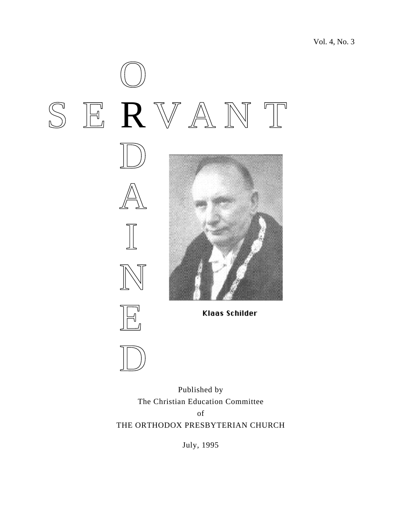





Klaas Schilder

Published by The Christian Education Committee of THE ORTHODOX PRESBYTERIAN CHURCH

July, 1995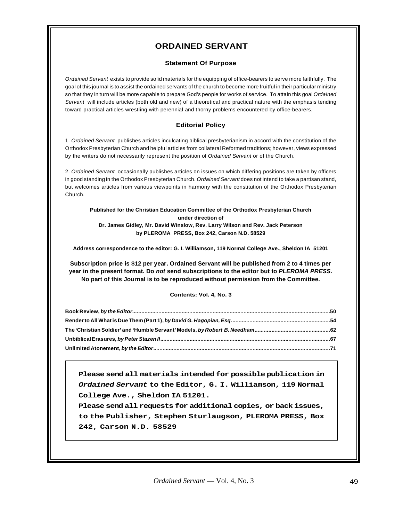# **ORDAINED SERVANT**

# **Statement Of Purpose**

Ordained Servant exists to provide solid materials for the equipping of office-bearers to serve more faithfully. The goal of this journal is to assist the ordained servants of the church to become more fruitful in their particular ministry so that they in turn will be more capable to prepare God's people for works of service. To attain this goal Ordained Servant will include articles (both old and new) of a theoretical and practical nature with the emphasis tending toward practical articles wrestling with perennial and thorny problems encountered by office-bearers.

# **Editorial Policy**

1. Ordained Servant publishes articles inculcating biblical presbyterianism in accord with the constitution of the Orthodox Presbyterian Church and helpful articles from collateral Reformed traditions; however, views expressed by the writers do not necessarily represent the position of Ordained Servant or of the Church.

2. Ordained Servant occasionally publishes articles on issues on which differing positions are taken by officers in good standing in the Orthodox Presbyterian Church. Ordained Servant does not intend to take a partisan stand, but welcomes articles from various viewpoints in harmony with the constitution of the Orthodox Presbyterian Church.

#### **Published for the Christian Education Committee of the Orthodox Presbyterian Church under direction of Dr. James Gidley, Mr. David Winslow, Rev. Larry Wilson and Rev. Jack Peterson by PLEROMA PRESS, Box 242, Carson N.D. 58529**

**Address correspondence to the editor: G. I. Williamson, 119 Normal College Ave., Sheldon IA 51201**

**Subscription price is \$12 per year. Ordained Servant will be published from 2 to 4 times per year in the present format. Do not send subscriptions to the editor but to PLEROMA PRESS. No part of this Journal is to be reproduced without permission from the Committee.**

# **Contents: Vol. 4, No. 3**

**Please send all materials intended for possible publication in Ordained Servant to the Editor, G. I. Williamson, 119 Normal College Ave., Sheldon IA 51201.**

**Please send all requests for additional copies, or back issues, to the Publisher, Stephen Sturlaugson, PLEROMA PRESS, Box 242, Carson N.D. 58529**

**"**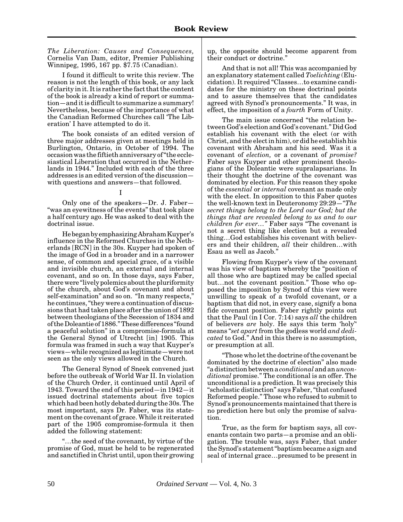<span id="page-2-0"></span>*The Liberation: Causes and Consequences,* Cornelis Van Dam, editor, Premier Publishing Winnipeg, 1995, 167 pp. \$7.75 (Canadian).

I found it difficult to write this review. The reason is not the length of this book, or any lack of clarity in it. It is rather the fact that the content of the book is already a kind of report or summation—and it is difficult to summarize a summary! Nevertheless, because of the importance of what the Canadian Reformed Churches call 'The Liberation' I have attempted to do it.

The book consists of an edited version of three major addresses given at meetings held in Burlington, Ontario, in October of 1994. The occasion was the fiftieth anniversary of "the ecclesiastical Liberation that occurred in the Netherlands in 1944." Included with each of the three addresses is an edited version of the discussion with questions and answers—that followed.

I

Only one of the speakers—Dr. J. Faber— "was an eyewitness of the events" that took place a half century ago. He was asked to deal with the doctrinal issue.

He began by emphasizing Abraham Kuyper's influence in the Reformed Churches in the Netherlands [RCN] in the 30s. Kuyper had spoken of the image of God in a broader and in a narrower sense, of common and special grace, of a visible and invisible church, an external and internal covenant, and so on. In those days, says Faber, there were "lively polemics about the pluriformity of the church, about God's covenant and about self-examination" and so on. "In many respects," he continues, "they were a continuation of discussions that had taken place after the union of 1892 between theologians of the Secession of 1834 and of the Doleantie of 1886." These differences "found a peaceful solution" in a compromise-formula at the General Synod of Utrecht [in] 1905. This formula was framed in such a way that Kuyper's views—while recognized as legitimate—were not seen as the only views allowed in the Church.

The General Synod of Sneek convened just before the outbreak of World War II. In violation of the Church Order, it continued until April of 1943. Toward the end of this period—in 1942—it issued doctrinal statements about five topics which had been hotly debated during the 30s. The most important, says Dr. Faber, was its statement on the covenant of grace. While it reiterated part of the 1905 compromise-formula it then added the following statement:

"…the seed of the covenant, by virtue of the promise of God, must be held to be regenerated and sanctified in Christ until, upon their growing

up, the opposite should become apparent from their conduct or doctrine."

And that is not all! This was accompanied by an explanatory statement called *Toelichting* (Elucidation). It required "Classes…to examine candidates for the ministry on these doctrinal points and to assure themselves that the candidates agreed with Synod's pronouncements." It was, in effect, the imposition of a *fourth* Form of Unity.

The main issue concerned "the relation between God's election and God's covenant." Did God establish his covenant with the elect (or with Christ, and the elect in him), or did he establish his covenant with Abraham and his seed. Was it a covenant of *election,* or a covenant of *promise?* Faber says Kuyper and other prominent theologians of the Doleantie were supralapsarians. In their thought the doctrine of the covenant was dominated by election. For this reason they spoke of the *essential* or *internal* covenant as made only with the elect. In opposition to this Faber quotes the well-known text in Deuteronomy 29:29—*"The secret things belong to the Lord our God; but the things that are revealed belong to us and to our children for ever…"* Faber says "The covenant is not a secret thing like election but a revealed thing…God establishes his covenant with believers and their children, *all* their children…with Esau as well as Jacob."

Flowing from Kuyper's view of the covenant was his view of baptism whereby the "position of all those who are baptized may be called special but…not the covenant position." Those who opposed the imposition by Synod of this view were unwilling to speak of a twofold covenant, or a baptism that did not, in every case, signify a bona fide covenant position. Faber rightly points out that the Paul (in I Cor. 7:14) says *all* the children of believers *are* holy. He says this term 'holy'' means "*set apart* from the godless world *and dedicated* to God." And in this there is no assumption, or presumption at all.

"Those who let the doctrine of the covenant be dominated by the doctrine of election" also made "a distinction between a *conditional* and an *unconditional* promise." The conditional is an offer. The unconditional is a prediction. It was precisely this "scholastic distinction" says Faber, "that confused Reformed people." Those who refused to submit to Synod's pronouncements maintained that there is no prediction here but only the promise of salvation.

True, as the form for baptism says, all covenants contain two parts—a promise and an obligation. The trouble was, says Faber, that under the Synod's statement "baptism became a sign and seal of internal grace…presumed to be present in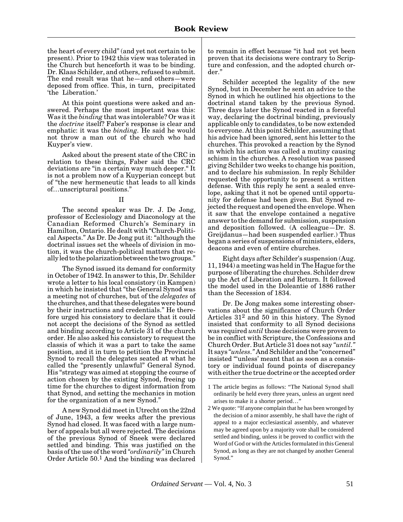the heart of every child" (and yet not certain to be present). Prior to 1942 this view was tolerated in the Church but henceforth it was to be binding. Dr. Klaas Schilder, and others, refused to submit. The end result was that he—and others—were deposed from office. This, in turn, precipitated 'the Liberation.'

At this point questions were asked and answered. Perhaps the most important was this: Was it the *binding* that was intolerable? Or was it the *doctrine* itself? Faber's response is clear and emphatic: it was the *binding.* He said he would not throw a man out of the church who had Kuyper's view.

Asked about the present state of the CRC in relation to these things, Faber said the CRC deviations are "in a certain way much deeper." It is not a problem now of a Kuyperian concept but of "the new hermeneutic that leads to all kinds of…unscriptural positions."

#### II

The second speaker was Dr. J. De Jong, professor of Ecclesiology and Diaconology at the Canadian Reformed Church's Seminary in Hamilton, Ontario. He dealt with "Church-Political Aspects." As Dr. De Jong put it: "although the doctrinal issues set the wheels of division in motion, it was the church-political matters that really led to the polarization between the two groups."

The Synod issued its demand for conformity in October of 1942. In answer to this, Dr. Schilder wrote a letter to his local consistory (in Kampen) in which he insisted that "the General Synod was a meeting not of churches, but of the *delegates* of the churches, and that these delegates were bound by their instructions and credentials." He therefore urged his consistory to declare that it could not accept the decisions of the Synod as settled and binding according to Article 31 of the church order. He also asked his consistory to request the classis of which it was a part to take the same position, and it in turn to petition the Provincial Synod to recall the delegates seated at what he called the "presently unlawful" General Synod. His "strategy was aimed at stopping the course of action chosen by the existing Synod, freeing up time for the churches to digest information from that Synod, and setting the mechanics in motion for the organization of a new Synod."

A new Synod did meet in Utrecht on the 22nd of June, 1943, a few weeks after the previous Synod had closed. It was faced with a large number of appeals but all were rejected. The decisions of the previous Synod of Sneek were declared settled and binding. This was justified on the basis of the use of the word *"ordinarily"* in Church Order Article 50.1 And the binding was declared to remain in effect because "it had not yet been proven that its decisions were contrary to Scripture and confession, and the adopted church order."

Schilder accepted the legality of the new Synod, but in December he sent an advice to the Synod in which he outlined his objections to the doctrinal stand taken by the previous Synod. Three days later the Synod reacted in a forceful way, declaring the doctrinal binding, previously applicable only to candidates, to be now extended to everyone. At this point Schilder, assuming that his advice had been ignored, sent his letter to the churches. This provoked a reaction by the Synod in which his action was called a mutiny causing schism in the churches. A resolution was passed giving Schilder two weeks to change his position, and to declare his submission. In reply Schilder requested the opportunity to present a written defense. With this reply he sent a sealed envelope, asking that it not be opened until opportunity for defense had been given. But Synod rejected the request and opened the envelope. When it saw that the envelope contained a negative answer to the demand for submission, suspension and deposition followed. (A colleague—Dr. S. Greijdanus—had been suspended earlier.) Thus began a series of suspensions of ministers, elders, deacons and even of entire churches.

Eight days after Schilder's suspension (Aug. 11, 1944) a meeting was held in The Hague for the purpose of liberating the churches. Schilder drew up the Act of Liberation and Return. It followed the model used in the Doleantie of 1886 rather than the Secession of 1834.

Dr. De Jong makes some interesting observations about the significance of Church Order Articles 312 and 50 in this history. The Synod insisted that conformity to all Synod decisions was required *until* those decisions were proven to be in conflict with Scripture, the Confessions and Church Order. But Article 31 does not say *"until."* It says *"unless."* And Schilder and the "concerned" insisted "'unless' meant that as soon as a consistory or individual found points of discrepancy with either the true doctrine or the accepted order

<sup>1</sup> The article begins as follows: "The National Synod shall ordinarily be held every three years, unless an urgent need arises to make it a shorter period…"

<sup>2</sup> We quote: "If anyone complain that he has been wronged by the decision of a minor assembly, he shall have the right of appeal to a major ecclesiastical assembly, and whatever may be agreed upon by a majority vote shall be considered settled and binding, unless it be proved to conflict with the Word of God or with the Articles formulated in this General Synod, as long as they are not changed by another General Synod."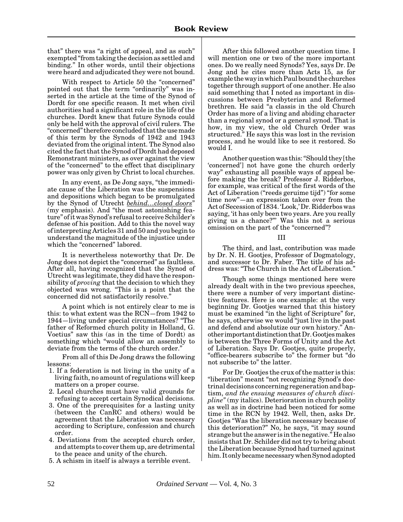that" there was "a right of appeal, and as such" exempted "from taking the decision as settled and binding." In other words, until their objections were heard and adjudicated they were not bound.

With respect to Article 50 the "concerned" pointed out that the term "ordinarily" was inserted in the article at the time of the Synod of Dordt for one specific reason. It met when civil authorities had a significant role in the life of the churches. Dordt knew that future Synods could only be held with the approval of civil rulers. The "concerned" therefore concluded that the use made of this term by the Synods of 1942 and 1943 deviated from the original intent. The Synod also cited the fact that the Synod of Dordt had deposed Remonstrant ministers, as over against the view of the "concerned" to the effect that disciplinary power was only given by Christ to local churches.

In any event, as De Jong says, "the immediate cause of the Liberation was the suspensions and depositions which began to be promulgated by the Synod of Utrecht *behind…closed doors*" (my emphasis). And "the most astonishing feature" of it was Synod's refusal to receive Schilder's defense of his position. Add to this the novel way of interpreting Articles 31 and 50 and you begin to understand the magnitude of the injustice under which the "concerned" labored.

It is nevertheless noteworthy that Dr. De Jong does not depict the "concerned" as faultless. After all, having recognized that the Synod of Utrecht was legitimate, they did have the responsibility of *proving* that the decision to which they objected was wrong. "This is a point that the concerned did not satisfactorily resolve."

A point which is not entirely clear to me is this: to what extent was the RCN—from 1942 to 1944—living under special circumstances? "The father of Reformed church polity in Holland, G. Voetius" saw this (as in the time of Dordt) as something which "would allow an assembly to deviate from the terms of the church order."

From all of this De Jong draws the following lessons:

- 1. If a federation is not living in the unity of a living faith, no amount of regulations will keep matters on a proper course.
- 2. Local churches must have valid grounds for refusing to accept certain Synodical decisions.
- 3. One of the prerequisites for a lasting unity (between the CanRC and others) would be agreement that the Liberation was necessary according to Scripture, confession and church order.
- 4. Deviations from the accepted church order, and attempts to cover them up, are detrimental to the peace and unity of the church.
- 5. A schism in itself is always a terrible event.

After this followed another question time. I will mention one or two of the more important ones. Do we really need Synods? Yes, says Dr. De Jong and he cites more than Acts 15, as for example the way in which Paul bound the churches together through support of one another. He also said something that I noted as important in discussions between Presbyterian and Reformed brethren. He said "a classis in the old Church Order has more of a living and abiding character than a regional synod or a general synod. That is how, in my view, the old Church Order was structured." He says this was lost in the revision process, and he would like to see it restored. So would I.

Another question was this: "Should they [the 'concerned'] not have gone the church orderly way" exhausting all possible ways of appeal before making the break? Professor J. Ridderbos, for example, was critical of the first words of the Act of Liberation ("reeds geruime tijd") "for some time now"—an expression taken over from the Act of Secession of 1834. 'Look,' Dr. Ridderbos was saying, 'it has only been two years. Are you really giving us a chance?"' Was this not a serious omission on the part of the "concerned"?

#### III

The third, and last, contribution was made by Dr. N. H. Gootjes, Professor of Dogmatology, and successor to Dr. Faber. The title of his address was: "The Church in the Act of Liberation."

Though some things mentioned here were already dealt with in the two previous speeches, there were a number of very important distinctive features. Here is one example: at the very beginning Dr. Gootjes warned that this history must be examined "in the light of Scripture" for, he says, otherwise we would "just live in the past and defend and absolutize our own history." Another important distinction that Dr. Gootjes makes is between the Three Forms of Unity and the Act of Liberation. Says Dr. Gootjes, quite properly, "office-bearers subscribe to" the former but "do not subscribe to" the latter.

For Dr. Gootjes the crux of the matter is this: "liberation" meant "not recognizing Synod's doctrinal decisions concerning regeneration and baptism, *and the ensuing measures of church discipline"* (my italics). Deterioration in church polity as well as in doctrine had been noticed for some time in the RCN by 1942. Well, then, asks Dr. Gootjes "Was the liberation necessary because of this deterioration?" No, he says, "it may sound strange but the answer is in the negative." He also insists that Dr. Schilder did not try to bring about the Liberation because Synod had turned against him. It only became necessary when Synod adopted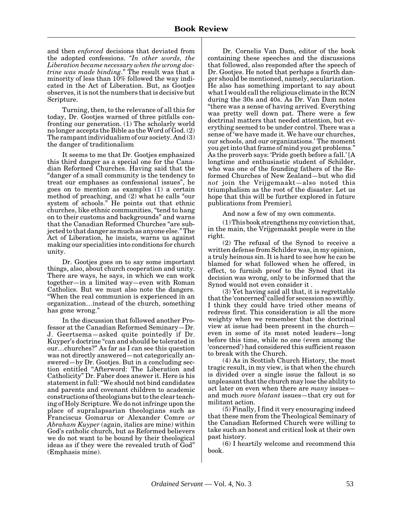and then *enforced* decisions that deviated from the adopted confessions. *"In other words, the Liberation became necessary when the wrong doctrine was made binding*." The result was that a minority of less than  $10\%$  followed the way indicated in the Act of Liberation. But, as Gootjes observes, it is not the numbers that is decisive but Scripture.

Turning, then, to the relevance of all this for today, Dr. Gootjes warned of three pitfalls confronting our generation. (1) The scholarly world no longer accepts the Bible as the Word of God. (2) The rampant individualism of our society. And (3) the danger of traditionalism

It seems to me that Dr. Gootjes emphasized this third danger as a special one for the Canadian Reformed Churches. Having said that the "danger of a small community is the tendency to treat our emphases as confessional issues", he goes on to mention as examples (1) a certain method of preaching, and (2) what he calls "our system of schools." He points out that ethnic churches, like ethnic communities, "tend to hang on to their customs and backgrounds" and warns that the Canadian Reformed Churches "are subjected to that danger as much as anyone else." The Act of Liberation, he insists, warns us against making our specialities into conditions for church unity.

Dr. Gootjes goes on to say some important things, also, about church cooperation and unity. There are ways, he says, in which we can work together—in a limited way—even with Roman Catholics. But we must also note the dangers. "When the real communion is experienced in an organization…instead of the church, something has gone wrong."

In the discussion that followed another Professor at the Canadian Reformed Seminary—Dr. J. Geertsema—asked quite pointedly if Dr. Kuyper's doctrine "can and should be tolerated in our…churches?" As far as I can see this question was not directly answered—not categorically answered—by Dr. Gootjes. But in a concluding section entitled "Afterword: The Liberation and Catholicity" Dr. Faber does answer it. Here is his statement in full: "We should not bind candidates and parents and covenant children to academic constructions of theologians but to the clear teaching of Holy Scripture. We do not infringe upon the place of supralapsarian theologians such as Franciscus Gomarus or Alexander Comre *or Abraham Kuyper* (again, italics are mine) within God's catholic church, but as Reformed believers we do not want to be bound by their theological ideas as if they were the revealed truth of God" (Emphasis mine).

Dr. Cornelis Van Dam, editor of the book containing these speeches and the discussions that followed, also responded after the speech of Dr. Gootjes. He noted that perhaps a fourth danger should be mentioned, namely, secularization. He also has something important to say about what I would call the religious climate in the RCN during the 30s and 40s. As Dr. Van Dam notes "there was a sense of having arrived. Everything was pretty well down pat. There were a few doctrinal matters that needed attention, but everything seemed to be under control. There was a sense of 'we have made it. We have our churches, our schools, and our organizations.' The moment you get into that frame of mind you get problems." As the proverb says: 'Pride goeth before a fall.' [A longtime and enthusiastic student of Schilder, who was one of the founding fathers of the Reformed Churches of New Zealand—but who did *not* join the Vrijgemaakt—also noted this triumphalism as the root of the disaster. Let us hope that this will be further explored in future publications from Premier].

And now a few of my own comments.

(1) This book strengthens my conviction that, in the main, the Vrijgemaakt people were in the right.

(2) The refusal of the Synod to receive a written defense from Schilder was, in my opinion, a truly heinous sin. It is hard to see how he can be blamed for what followed when he offered, in effect, to furnish proof to the Synod that its decision was wrong, only to be informed that the Synod would not even consider it .

(3) Yet having said all that, it is regrettable that the 'concerned' called for secession so swiftly. I think they could have tried other means of redress first. This consideration is all the more weighty when we remember that the doctrinal view at issue had been present in the church even in some of its most noted leaders—long before this time, while no one (even among the 'concerned') had considered this sufficient reason to break with the Church.

(4) As in Scottish Church History, the most tragic result, in my view, is that when the church is divided over a single issue the fallout is so unpleasant that the church may lose the ability to act later on even when there are *many* issues and much *more blatant* issues—that cry out for militant action.

(5) Finally, I find it very encouraging indeed that these men from the Theological Seminary of the Canadian Reformed Church were willing to take such an honest and critical look at their own past history.

(6) I heartily welcome and recommend this book.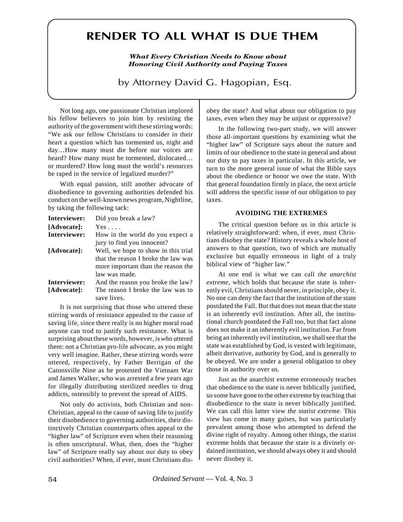# <span id="page-6-0"></span>**RENDER TO ALL WHAT IS DUE THEM**

*What Every Christian Needs to Know about Honoring Civil Authority and Paying Taxes*

by Attorney David G. Hagopian, Esq.

Not long ago, one passionate Christian implored his fellow believers to join him by resisting the authority of the government with these stirring words: "We ask our fellow Christians to consider in their heart a question which has tormented us, night and day…How many must die before our voices are heard? How many must be tormented, dislocated... or murdered? How long must the world's resources be raped in the service of legalized murder?"

With equal passion, still another advocate of disobedience to governing authorities defended his conduct on the well-known news program, Nightline, by taking the following tack:

| Interviewer: | Did you break a law?                |
|--------------|-------------------------------------|
| [Advocate]:  | $Yes \dots$                         |
| Interviewer: | How in the world do you expect a    |
|              | jury to find you innocent?          |
| [Advocate]:  | Well, we hope to show in this trial |
|              | that the reason I broke the law was |
|              | more important than the reason the  |
|              | law was made.                       |
| Interviewer: | And the reason you broke the law?   |
|              |                                     |

**[Advocate]:** The reason I broke the law was to save lives.

It is not surprising that those who uttered these stirring words of resistance appealed to the cause of saving life, since there really is no higher moral road anyone can trod to justify such resistance. What is surprising about these words, however, is *who* uttered them: not a Christian pro-life advocate, as you might very well imagine. Rather, these stirring words were uttered, respectively, by Father Berrigan of the Catonsville Nine as he protested the Vietnam War and James Walker, who was arrested a few years ago for illegally distributing sterilized needles to drug addicts, ostensibly to prevent the spread of AIDS.

Not only do activists, both Christian and non-Christian, appeal to the cause of saving life to justify their disobedience to governing authorities, their distinctively Christian counterparts often appeal to the "higher law" of Scripture even when their reasoning is often unscriptural. What, then, does the "higher law" of Scripture really say about our duty to obey civil authorities? When, if ever, must Christians disobey the state? And what about our obligation to pay taxes, even when they may be unjust or oppressive?

In the following two-part study, we will answer those all-important questions by examining what the "higher law" of Scripture says about the nature and limits of our obedience to the state in general and about our duty to pay taxes in particular. In this article, we turn to the more general issue of what the Bible says about the obedience or honor we owe the state. With that general foundation firmly in place, the next article will address the specific issue of our obligation to pay taxes.

#### **AVOIDING THE EXTREMES**

The critical question before us in this article is relatively straightforward: when, if ever, must Christians disobey the state? History reveals a whole host of answers to that question, two of which are mutually exclusive but equally erroneous in light of a truly biblical view of "higher law."

At one end is what we can call *the anarchist extreme*, which holds that because the state is inherently evil, Christians should never, in principle, obey it. No one can deny the fact that the institution of the state postdated the Fall. But that does not mean that the state is an inherently evil institution. After all, the institutional church postdated the Fall too, but that fact alone does not make it an inherently evil institution. Far from being an inherently evil institution, we shall see that the state was established by God, is vested with legitimate, albeit derivative, authority by God, and is generally to be obeyed. We are under a general obligation to obey those in authority over us.

Just as the anarchist extreme erroneously teaches that obedience to the state is never biblically justified, so some have gone to the other extreme by teaching that disobedience to the state is never biblically justified. We can call this latter view *the statist extreme.* This view has come in many guises, but was particularly prevalent among those who attempted to defend the divine right of royalty. Among other things, the statist extreme holds that because the state is a divinely ordained institution, we should always obey it and should never disobey it.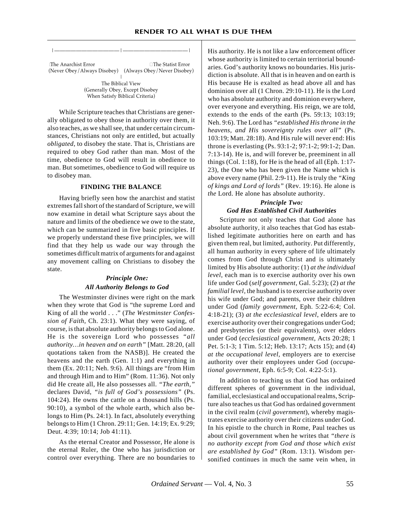␣The Anarchist Error ␣ The Statist Error

| The Biblical View (Generally Obey, Except Disobey When Satisfy Biblical Criteria)

|————————————|————————————|

(Never Obey/Always Disobey) (Always Obey/Never Disobey)

While Scripture teaches that Christians are generally obligated to obey those in authority over them, it also teaches, as we shall see, that under certain circumstances, Christians not only are entitled, but actually *obligated*, to disobey the state. That is, Christians are required to obey God rather than man. Most of the time, obedience to God will result in obedience to man. But sometimes, obedience to God will require us to disobey man.

#### **FINDING THE BALANCE**

Having briefly seen how the anarchist and statist extremes fall short of the standard of Scripture, we will now examine in detail what Scripture says about the nature and limits of the obedience we owe to the state, which can be summarized in five basic principles. If we properly understand these five principles, we will find that they help us wade our way through the sometimes difficult matrix of arguments for and against any movement calling on Christians to disobey the state.

# *Principle One: All Authority Belongs to God*

The Westminster divines were right on the mark when they wrote that God is "the supreme Lord and King of all the world . . ." (*The Westminster Confession of Faith*, Ch. 23:1). What they were saying, of course, is that absolute authority belongs to God alone. He is the sovereign Lord who possesses *"all authority…in heaven and on earth"* [Matt. 28:20, (all quotations taken from the NASB)]. He created the heavens and the earth (Gen. 1:1) and everything in them (Ex. 20:11; Neh. 9:6). All things are "from Him and through Him and to Him" (Rom. 11:36). Not only did He create all, He also possesses all. *"The earth,"* declares David, *"is full of God's possessions"* (Ps. 104:24). He owns the cattle on a thousand hills (Ps. 90:10), a symbol of the whole earth, which also belongs to Him (Ps. 24:1). In fact, absolutely everything belongs to Him (1 Chron. 29:11; Gen. 14:19; Ex. 9:29; Deut. 4:39; 10:14; Job 41:11).

As the eternal Creator and Possessor, He alone is the eternal Ruler, the One who has jurisdiction or control over everything. There are no boundaries to His authority. He is not like a law enforcement officer whose authority is limited to certain territorial boundaries. God's authority knows no boundaries. His jurisdiction is absolute. All that is in heaven and on earth is His because He is exalted as head above all and has dominion over all (1 Chron. 29:10-11). He is the Lord who has absolute authority and dominion everywhere, over everyone and everything. His reign, we are told, extends to the ends of the earth (Ps. 59:13; 103:19; Neh. 9:6). The Lord has *"established His throne in the heavens, and His sovereignty rules over all"* (Ps. 103:19; Matt. 28:18). And His rule will never end: His throne is everlasting (Ps. 93:1-2; 97:1-2; 99:1-2; Dan. 7:13-14). He is, and will forever be, preeminent in all things (Col. 1:18), for He is the head of all (Eph. 1:17- 23), the One who has been given the Name which is above every name (Phil. 2:9-11). He is truly the *"King of kings and Lord of lords"* (Rev. 19:16). He alone is *the* Lord. He alone has absolute authority.

# *Principle Two: God Has Established Civil Authorities*

Scripture not only teaches that God alone has absolute authority, it also teaches that God has established legitimate authorities here on earth and has given them real, but limited, authority. Put differently, all human authority in every sphere of life ultimately comes from God through Christ and is ultimately limited by His absolute authority: (1) *at the individual level*, each man is to exercise authority over his own life under God (*self government*, Gal. 5:23); (2) *at the familial level*, the husband is to exercise authority over his wife under God; and parents, over their children under God (*family government*, Eph. 5:22-6:4; Col. 4:18-21); (3) *at the ecclesiastical level*, elders are to exercise authority over their congregations under God; and presbyteries (or their equivalents), over elders under God (*ecclesiastical government*, Acts 20:28; 1 Pet. 5:1-3; 1 Tim. 5:12; Heb. 13:17; Acts 15); and (4) *at the occupational level*, employers are to exercise authority over their employees under God (*occupational government*, Eph. 6:5-9; Col. 4:22-5:1).

In addition to teaching us that God has ordained different spheres of government in the individual, familial, ecclesiastical and occupational realms, Scripture also teaches us that God has ordained government in the civil realm (*civil government*), whereby magistrates exercise authority over their citizens under God. In his epistle to the church in Rome, Paul teaches us about civil government when he writes that *"there is no authority except from God and those which exist are established by God"* (Rom. 13:1). Wisdom personified continues in much the same vein when, in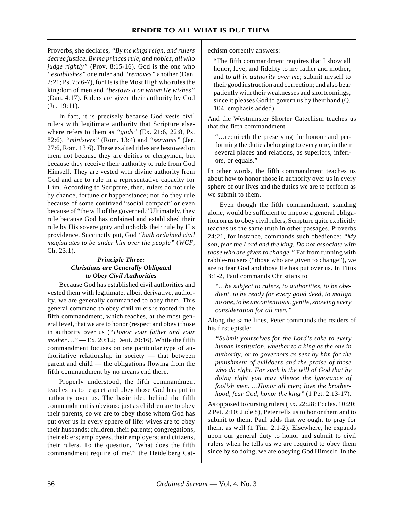Proverbs, she declares, *"By me kings reign, and rulers decree justice. By me princes rule, and nobles, all who judge rightly"* (Prov. 8:15-16). God is the one who *"establishes"* one ruler and *"removes"* another (Dan. 2:21; Ps. 75:6-7), for He is the Most High who rules the kingdom of men and *"bestows it on whom He wishes"* (Dan. 4:17). Rulers are given their authority by God (Jn. 19:11).

In fact, it is precisely because God vests civil rulers with legitimate authority that Scripture elsewhere refers to them as *"gods"* (Ex. 21:6, 22:8, Ps. 82:6), *"ministers"* (Rom. 13:4) and *"servants"* (Jer. 27:6, Rom. 13:6). These exalted titles are bestowed on them not because they are deities or clergymen, but because they receive their authority to rule from God Himself. They are vested with divine authority from God and are to rule in a representative capacity for Him. According to Scripture, then, rulers do not rule by chance, fortune or happenstance; nor do they rule because of some contrived "social compact" or even because of "the will of the governed." Ultimately, they rule because God has ordained and established their rule by His sovereignty and upholds their rule by His providence. Succinctly put, God *"hath ordained civil magistrates to be under him over the people"* (*WCF*, Ch. 23:1).

# *Principle Three: Christians are Generally Obligated to Obey Civil Authorities*

Because God has established civil authorities and vested them with legitimate, albeit derivative, authority, we are generally commanded to obey them. This general command to obey civil rulers is rooted in the fifth commandment, which teaches, at the most general level, that we are to honor (respect and obey) those in authority over us (*"Honor your father and your mother …"* — Ex. 20:12; Deut. 20:16). While the fifth commandment focuses on one particular type of authoritative relationship in society — that between parent and child — the obligations flowing from the fifth commandment by no means end there.

Properly understood, the fifth commandment teaches us to respect and obey those God has put in authority over us. The basic idea behind the fifth commandment is obvious: just as children are to obey their parents, so we are to obey those whom God has put over us in every sphere of life: wives are to obey their husbands; children, their parents; congregations, their elders; employees, their employers; and citizens, their rulers. To the question, "What does the fifth commandment require of me?" the Heidelberg Catechism correctly answers:

"The fifth commandment requires that I show all honor, love, and fidelity to my father and mother, and to *all in authority over me*; submit myself to their good instruction and correction; and also bear patiently with their weaknesses and shortcomings, since it pleases God to govern us by their hand (Q. 104, emphasis added).

And the Westminster Shorter Catechism teaches us that the fifth commandment

"…requireth the preserving the honour and performing the duties belonging to every one, in their several places and relations, as superiors, inferiors, or equals."

In other words, the fifth commandment teaches us about how to honor those in authority over us in every sphere of our lives and the duties we are to perform as we submit to them.

Even though the fifth commandment, standing alone, would be sufficient to impose a general obligation on us to obey civil rulers, Scripture quite explicitly teaches us the same truth in other passages. Proverbs 24:21, for instance, commands such obedience: *"My son, fear the Lord and the king. Do not associate with those who are given to change."* Far from running with rabble-rousers ("those who are given to change"), we are to fear God and those He has put over us. In Titus 3:1-2, Paul commands Christians to

*"…be subject to rulers, to authorities, to be obedient, to be ready for every good deed, to malign no one, to be uncontentious, gentle, showing every consideration for all men."*

Along the same lines, Peter commands the readers of his first epistle:

*"Submit yourselves for the Lord's sake to every human institution, whether to a king as the one in authority, or to governors as sent by him for the punishment of evildoers and the praise of those who do right. For such is the will of God that by doing right you may silence the ignorance of foolish men. …Honor all men; love the brotherhood, fear God, honor the king"* (1 Pet. 2:13-17).

As opposed to cursing rulers (Ex. 22:28; Eccles. 10:20; 2 Pet. 2:10; Jude 8), Peter tells us to honor them and to submit to them. Paul adds that we ought to pray for them, as well (1 Tim. 2:1-2). Elsewhere, he expands upon our general duty to honor and submit to civil rulers when he tells us we are required to obey them since by so doing, we are obeying God Himself. In the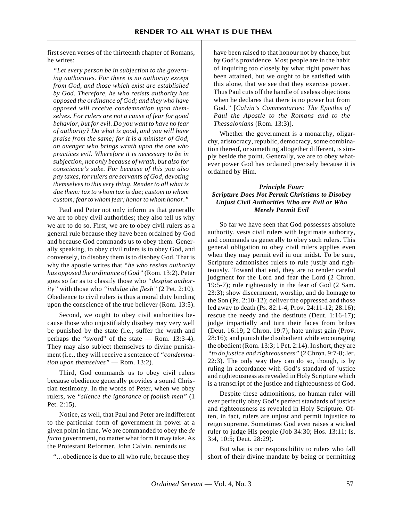first seven verses of the thirteenth chapter of Romans, he writes:

*"Let every person be in subjection to the governing authorities. For there is no authority except from God, and those which exist are established by God. Therefore, he who resists authority has opposed the ordinance of God; and they who have opposed will receive condemnation upon themselves. For rulers are not a cause of fear for good behavior, but for evil. Do you want to have no fear of authority? Do what is good, and you will have praise from the same; for it is a minister of God, an avenger who brings wrath upon the one who practices evil. Wherefore it is necessary to be in subjection, not only because of wrath, but also for conscience's sake. For because of this you also pay taxes, for rulers are servants of God, devoting themselves to this very thing. Render to all what is due them: tax to whom tax is due; custom to whom custom; fear to whom fear; honor to whom honor."*

Paul and Peter not only inform us that generally we are to obey civil authorities; they also tell us why we are to do so. First, we are to obey civil rulers as a general rule because they have been ordained by God and because God commands us to obey them. Generally speaking, to obey civil rulers is to obey God, and conversely, to disobey them is to disobey God. That is why the apostle writes that *"he who resists authority has opposed the ordinance of God"* (Rom. 13:2). Peter goes so far as to classify those who *"despise authority"* with those who *"indulge the flesh"* (2 Pet. 2:10). Obedience to civil rulers is thus a moral duty binding upon the conscience of the true believer (Rom. 13:5).

Second, we ought to obey civil authorities because those who unjustifiably disobey may very well be punished by the state (i.e., suffer the wrath and perhaps the "sword" of the state — Rom. 13:3-4). They may also subject themselves to divine punishment (i.e., they will receive a sentence of *"condemnation upon themselves"* — Rom. 13:2).

Third, God commands us to obey civil rulers because obedience generally provides a sound Christian testimony. In the words of Peter, when we obey rulers, we *"silence the ignorance of foolish men"* (1 Pet. 2:15).

Notice, as well, that Paul and Peter are indifferent to the particular form of government in power at a given point in time. We are commanded to obey the *de facto* government, no matter what form it may take. As the Protestant Reformer, John Calvin, reminds us:

"…obedience is due to all who rule, because they

have been raised to that honour not by chance, but by God's providence. Most people are in the habit of inquiring too closely by what right power has been attained, but we ought to be satisfied with this alone, that we see that they exercise power. Thus Paul cuts off the handle of useless objections when he declares that there is no power but from God.*"* [*Calvin's Commentaries: The Epistles of Paul the Apostle to the Romans and to the Thessalonians* (Rom. 13:3)].

Whether the government is a monarchy, oligarchy, aristocracy, republic, democracy, some combination thereof, or something altogether different, is simply beside the point. Generally, we are to obey whatever power God has ordained precisely because it is ordained by Him.

### *Principle Four: Scripture Does Not Permit Christians to Disobey Unjust Civil Authorities Who are Evil or Who Merely Permit Evil*

So far we have seen that God possesses absolute authority, vests civil rulers with legitimate authority, and commands us generally to obey such rulers. This general obligation to obey civil rulers applies even when they may permit evil in our midst. To be sure, Scripture admonishes rulers to rule justly and righteously. Toward that end, they are to render careful judgment for the Lord and fear the Lord (2 Chron. 19:5-7); rule righteously in the fear of God (2 Sam. 23:3); show discernment, worship, and do homage to the Son (Ps. 2:10-12); deliver the oppressed and those led away to death (Ps. 82:1-4, Prov. 24:11-12; 28:16); rescue the needy and the destitute (Deut. 1:16-17); judge impartially and turn their faces from bribes (Deut. 16:19; 2 Chron. 19:7); hate unjust gain (Prov. 28:16); and punish the disobedient while encouraging the obedient (Rom. 13:3; 1 Pet. 2:14). In short, they are *"to do justice and righteousness"* (2 Chron. 9:7-8; Jer. 22:3). The only way they can do so, though, is by ruling in accordance with God's standard of justice and righteousness as revealed in Holy Scripture which is a transcript of the justice and righteousness of God.

Despite these admonitions, no human ruler will ever perfectly obey God's perfect standards of justice and righteousness as revealed in Holy Scripture. Often, in fact, rulers are unjust and permit injustice to reign supreme. Sometimes God even raises a wicked ruler to judge His people (Job 34:30; Hos. 13:11; Is. 3:4, 10:5; Deut. 28:29).

But what is our responsibility to rulers who fall short of their divine mandate by being or permitting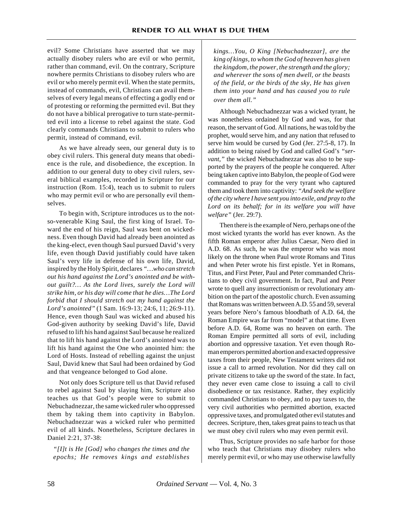evil? Some Christians have asserted that we may actually disobey rulers who are evil or who permit, rather than command, evil. On the contrary, Scripture nowhere permits Christians to disobey rulers who are evil or who merely permit evil. When the state permits, instead of commands, evil, Christians can avail themselves of every legal means of effecting a godly end or of protesting or reforming the permitted evil. But they do not have a biblical prerogative to turn state-permitted evil into a license to rebel against the state. God clearly commands Christians to submit to rulers who permit, instead of command, evil.

As we have already seen, our general duty is to obey civil rulers. This general duty means that obedience is the rule, and disobedience, the exception. In addition to our general duty to obey civil rulers, several biblical examples, recorded in Scripture for our instruction (Rom. 15:4), teach us to submit to rulers who may permit evil or who are personally evil themselves.

To begin with, Scripture introduces us to the notso-venerable King Saul, the first king of Israel. Toward the end of his reign, Saul was bent on wickedness. Even though David had already been anointed as the king-elect, even though Saul pursued David's very life, even though David justifiably could have taken Saul's very life in defense of his own life, David, inspired by the Holy Spirit, declares *"…who can stretch out his hand against the Lord's anointed and be without guilt?… As the Lord lives, surely the Lord will strike him, or his day will come that he dies…The Lord forbid that I should stretch out my hand against the Lord's anointed"* (1 Sam. 16:9-13; 24:6, 11; 26:9-11). Hence, even though Saul was wicked and abused his God-given authority by seeking David's life, David refused to lift his hand against Saul because he realized that to lift his hand against the Lord's anointed was to lift his hand against the One who anointed him: the Lord of Hosts. Instead of rebelling against the unjust Saul, David knew that Saul had been ordained by God and that vengeance belonged to God alone.

Not only does Scripture tell us that David refused to rebel against Saul by slaying him, Scripture also teaches us that God's people were to submit to Nebuchadnezzar, the same wicked ruler who oppressed them by taking them into captivity in Babylon. Nebuchadnezzar was a wicked ruler who permitted evil of all kinds. Nonetheless, Scripture declares in Daniel 2:21, 37-38:

*"[I]t is He [God] who changes the times and the epochs; He removes kings and establishes*

*kings…You, O King [Nebuchadnezzar], are the king of kings, to whom the God of heaven has given the kingdom, the power, the strength and the glory; and wherever the sons of men dwell, or the beasts of the field, or the birds of the sky, He has given them into your hand and has caused you to rule over them all."*

Although Nebuchadnezzar was a wicked tyrant, he was nonetheless ordained by God and was, for that reason, the servant of God. All nations, he was told by the prophet, would serve him, and any nation that refused to serve him would be cursed by God (Jer. 27:5-8, 17). In addition to being raised by God and called God's *"servant,"* the wicked Nebuchadnezzar was also to be supported by the prayers of the people he conquered. After being taken captive into Babylon, the people of God were commanded to pray for the very tyrant who captured them and took them into captivity: *"And seek the welfare of the city where I have sent you into exile, and pray to the Lord on its behalf; for in its welfare you will have welfare"* (Jer. 29:7).

Then there is the example of Nero, perhaps one of the most wicked tyrants the world has ever known. As the fifth Roman emperor after Julius Caesar, Nero died in A.D. 68. As such, he was the emperor who was most likely on the throne when Paul wrote Romans and Titus and when Peter wrote his first epistle. Yet in Romans, Titus, and First Peter, Paul and Peter commanded Christians to obey civil government. In fact, Paul and Peter wrote to quell any insurrectionism or revolutionary ambition on the part of the apostolic church. Even assuming that Romans was written between A.D. 55 and 59, several years before Nero's famous bloodbath of A.D. 64, the Roman Empire was far from "model" at that time. Even before A.D. 64, Rome was no heaven on earth. The Roman Empire permitted all sorts of evil, including abortion and oppressive taxation. Yet even though Roman emperors permitted abortion and exacted oppressive taxes from their people, New Testament writers did not issue a call to armed revolution. Nor did they call on private citizens to take up the sword of the state. In fact, they never even came close to issuing a call to civil disobedience or tax resistance. Rather, they explicitly commanded Christians to obey, and to pay taxes to, the very civil authorities who permitted abortion, exacted oppressive taxes, and promulgated other evil statutes and decrees. Scripture, then, takes great pains to teach us that we must obey civil rulers who may even permit evil.

Thus, Scripture provides no safe harbor for those who teach that Christians may disobey rulers who merely permit evil, or who may use otherwise lawfully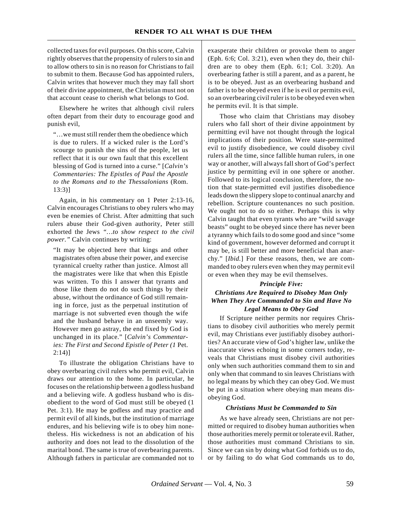collected taxes for evil purposes. On this score, Calvin rightly observes that the propensity of rulers to sin and to allow others to sin is no reason for Christians to fail to submit to them. Because God has appointed rulers, Calvin writes that however much they may fall short of their divine appointment, the Christian must not on that account cease to cherish what belongs to God.

Elsewhere he writes that although civil rulers often depart from their duty to encourage good and punish evil,

"…we must still render them the obedience which is due to rulers. If a wicked ruler is the Lord's scourge to punish the sins of the people, let us reflect that it is our own fault that this excellent blessing of God is turned into a curse." [*Calvin's Commentaries: The Epistles of Paul the Apostle to the Romans and to the Thessalonians* (Rom. 13:3)]

Again, in his commentary on 1 Peter 2:13-16, Calvin encourages Christians to obey rulers who may even be enemies of Christ. After admitting that such rulers abuse their God-given authority, Peter still exhorted the Jews *"…to show respect to the civil power."* Calvin continues by writing:

"It may be objected here that kings and other magistrates often abuse their power, and exercise tyrannical cruelty rather than justice. Almost all the magistrates were like that when this Epistle was written. To this I answer that tyrants and those like them do not do such things by their abuse, without the ordinance of God still remaining in force, just as the perpetual institution of marriage is not subverted even though the wife and the husband behave in an unseemly way. However men go astray, the end fixed by God is unchanged in its place." [*Calvin's Commentaries: The First and Second Epistle of Peter (1* Pet.  $2:14$ )

To illustrate the obligation Christians have to obey overbearing civil rulers who permit evil, Calvin draws our attention to the home. In particular, he focuses on the relationship between a godless husband and a believing wife. A godless husband who is disobedient to the word of God must still be obeyed (1 Pet. 3:1). He may be godless and may practice and permit evil of all kinds, but the institution of marriage endures, and his believing wife is to obey him nonetheless. His wickedness is not an abdication of his authority and does not lead to the dissolution of the marital bond. The same is true of overbearing parents. Although fathers in particular are commanded not to exasperate their children or provoke them to anger (Eph. 6:6; Col. 3:21), even when they do, their children are to obey them (Eph. 6:1; Col. 3:20). An overbearing father is still a parent, and as a parent, he is to be obeyed. Just as an overbearing husband and father is to be obeyed even if he is evil or permits evil, so an overbearing civil ruler is to be obeyed even when he permits evil. It is that simple.

Those who claim that Christians may disobey rulers who fall short of their divine appointment by permitting evil have not thought through the logical implications of their position. Were state-permitted evil to justify disobedience, we could disobey civil rulers all the time, since fallible human rulers, in one way or another, will always fall short of God's perfect justice by permitting evil in one sphere or another. Followed to its logical conclusion, therefore, the notion that state-permitted evil justifies disobedience leads down the slippery slope to continual anarchy and rebellion. Scripture countenances no such position. We ought not to do so either. Perhaps this is why Calvin taught that even tyrants who are "wild savage beasts" ought to be obeyed since there has never been a tyranny which fails to do some good and since "some kind of government, however deformed and corrupt it may be, is still better and more beneficial than anarchy." [*Ibid.*] For these reasons, then, we are commanded to obey rulers even when they may permit evil or even when they may be evil themselves.

# *Principle Five: Christians Are Required to Disobey Man Only When They Are Commanded to Sin and Have No Legal Means to Obey God*

If Scripture neither permits nor requires Christians to disobey civil authorities who merely permit evil, may Christians ever justifiably disobey authorities? An accurate view of God's higher law, unlike the inaccurate views echoing in some corners today, reveals that Christians must disobey civil authorities only when such authorities command them to sin and only when that command to sin leaves Christians with no legal means by which they can obey God. We must be put in a situation where obeying man means disobeying God.

#### *Christians Must be Commanded to Sin*

As we have already seen, Christians are not permitted or required to disobey human authorities when those authorities merely permit or tolerate evil. Rather, those authorities must command Christians to sin. Since we can sin by doing what God forbids us to do, or by failing to do what God commands us to do,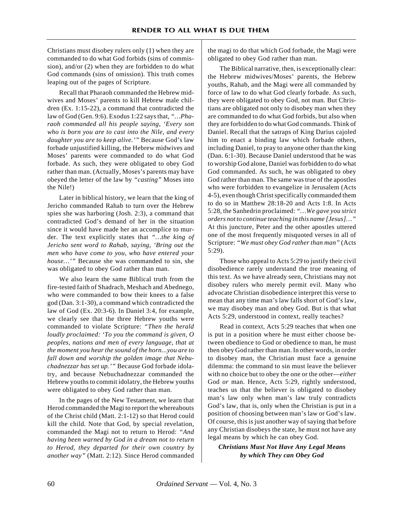Christians must disobey rulers only (1) when they are commanded to do what God forbids (sins of commission), and/or (2) when they are forbidden to do what God commands (sins of omission). This truth comes leaping out of the pages of Scripture.

Recall that Pharaoh commanded the Hebrew midwives and Moses' parents to kill Hebrew male children (Ex. 1:15-22), a command that contradicted the law of God (Gen. 9:6). Exodus 1:22 says that, *"…Pharaoh commanded all his people saying, 'Every son who is born you are to cast into the Nile, and every daughter you are to keep alive.'"* Because God's law forbade unjustified killing, the Hebrew midwives and Moses' parents were commanded to do what God forbade. As such, they were obligated to obey God rather than man. (Actually, Moses's parents may have obeyed the letter of the law by *"casting"* Moses into the Nile!)

Later in biblical history, we learn that the king of Jericho commanded Rahab to turn over the Hebrew spies she was harboring (Josh. 2:3), a command that contradicted God's demand of her in the situation since it would have made her an accomplice to murder. The text explicitly states that *"…the king of Jericho sent word to Rahab, saying, 'Bring out the men who have come to you, who have entered your house…'"* Because she was commanded to sin, she was obligated to obey God rather than man.

We also learn the same Biblical truth from the fire-tested faith of Shadrach, Meshach and Abednego, who were commanded to bow their knees to a false god (Dan. 3:1-30), a command which contradicted the law of God (Ex. 20:3-6). In Daniel 3:4, for example, we clearly see that the three Hebrew youths were commanded to violate Scripture: *"Then the herald loudly proclaimed: 'To you the command is given, O peoples, nations and men of every language, that at the moment you hear the sound of the horn...you are to fall down and worship the golden image that Nebuchadnezzar has set up.'"* Because God forbade idolatry, and because Nebuchadnezzar commanded the Hebrew youths to commit idolatry, the Hebrew youths were obligated to obey God rather than man.

In the pages of the New Testament, we learn that Herod commanded the Magi to report the whereabouts of the Christ child (Matt. 2:1-12) so that Herod could kill the child. Note that God, by special revelation, commanded the Magi not to return to Herod: *"And having been warned by God in a dream not to return to Herod, they departed for their own country by another way"* (Matt. 2:12). Since Herod commanded

the magi to do that which God forbade, the Magi were obligated to obey God rather than man.

The Biblical narrative, then, is exceptionally clear: the Hebrew midwives/Moses' parents, the Hebrew youths, Rahab, and the Magi were all commanded by force of law to do what God clearly forbade. As such, they were obligated to obey God, not man. But Christians are obligated not only to disobey man when they are commanded to do what God forbids, but also when they are forbidden to do what God commands. Think of Daniel. Recall that the satraps of King Darius cajoled him to enact a binding law which forbade others, including Daniel, to pray to anyone other than the king (Dan. 6:1-30). Because Daniel understood that he was to worship God alone, Daniel was forbidden to do what God commanded. As such, he was obligated to obey God rather than man. The same was true of the apostles who were forbidden to evangelize in Jerusalem (Acts 4-5), even though Christ specifically commanded them to do so in Matthew 28:18-20 and Acts 1:8. In Acts 5:28, the Sanhedrin proclaimed: *"…We gave you strict orders not to continue teaching in this name [Jesus]…"* At this juncture, Peter and the other apostles uttered one of the most frequently misquoted verses in all of Scripture: *"We must obey God rather than man"* (Acts 5:29).

Those who appeal to Acts 5:29 to justify their civil disobedience rarely understand the true meaning of this text. As we have already seen, Christians may not disobey rulers who merely permit evil. Many who advocate Christian disobedience interpret this verse to mean that any time man's law falls short of God's law, we may disobey man and obey God. But is that what Acts 5:29, understood in context, really teaches?

Read in context, Acts 5:29 teaches that when one is put in a position where he must either choose between obedience to God or obedience to man, he must then obey God rather than man. In other words, in order to disobey man, the Christian must face a genuine dilemma: the command to sin must leave the believer with no choice but to obey the one or the other—*either* God *or* man. Hence, Acts 5:29, rightly understood, teaches us that the believer is obligated to disobey man's law only when man's law truly contradicts God's law, that is, only when the Christian is put in a position of choosing between man's law or God's law. Of course, this is just another way of saying that before any Christian disobeys the state, he must not have any legal means by which he can obey God.

*Christians Must Not Have Any Legal Means by which They can Obey God*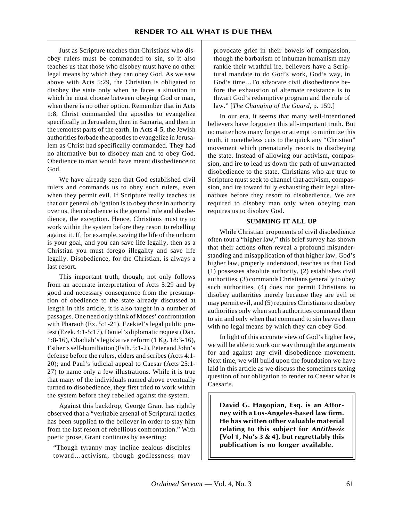Just as Scripture teaches that Christians who disobey rulers must be commanded to sin, so it also teaches us that those who disobey must have no other legal means by which they can obey God. As we saw above with Acts 5:29, the Christian is obligated to disobey the state only when he faces a situation in which he must choose between obeying God or man, when there is no other option. Remember that in Acts 1:8, Christ commanded the apostles to evangelize specifically in Jerusalem, then in Samaria, and then in the remotest parts of the earth. In Acts 4-5, the Jewish authorities forbade the apostles to evangelize in Jerusalem as Christ had specifically commanded. They had no alternative but to disobey man and to obey God. Obedience to man would have meant disobedience to God.

We have already seen that God established civil rulers and commands us to obey such rulers, even when they permit evil. If Scripture really teaches us that our general obligation is to obey those in authority over us, then obedience is the general rule and disobedience, the exception. Hence, Christians must try to work within the system before they resort to rebelling against it. If, for example, saving the life of the unborn is your goal, and you can save life legally, then as a Christian you must forego illegality and save life legally. Disobedience, for the Christian, is always a last resort.

This important truth, though, not only follows from an accurate interpretation of Acts 5:29 and by good and necessary consequence from the presumption of obedience to the state already discussed at length in this article, it is also taught in a number of passages. One need only think of Moses' confrontation with Pharaoh (Ex. 5:1-21), Ezekiel's legal public protest (Ezek. 4:1-5:17), Daniel's diplomatic request (Dan. 1:8-16), Obadiah's legislative reform (1 Kg. 18:3-16), Esther's self-humiliation (Esth. 5:1-2), Peter and John's defense before the rulers, elders and scribes (Acts 4:1- 20); and Paul's judicial appeal to Caesar (Acts 25:1- 27) to name only a few illustrations. While it is true that many of the individuals named above eventually turned to disobedience, they first tried to work within the system before they rebelled against the system.

Against this backdrop, George Grant has rightly observed that a "veritable arsenal of Scriptural tactics has been supplied to the believer in order to stay him from the last resort of rebellious confrontation." With poetic prose, Grant continues by asserting:

"Though tyranny may incline zealous disciples toward…activism, though godlessness may provocate grief in their bowels of compassion, though the barbarism of inhuman humanism may rankle their wrathful ire, believers have a Scriptural mandate to do God's work, God's way, in God's time…To advocate civil disobedience before the exhaustion of alternate resistance is to thwart God's redemptive program and the rule of law." [*The Changing of the Guard*, p. 159.]

In our era, it seems that many well-intentioned believers have forgotten this all-important truth. But no matter how many forget or attempt to minimize this truth, it nonetheless cuts to the quick any "Christian" movement which prematurely resorts to disobeying the state. Instead of allowing our activism, compassion, and ire to lead us down the path of unwarranted disobedience to the state, Christians who are true to Scripture must seek to channel that activism, compassion, and ire toward fully exhausting their legal alternatives before they resort to disobedience. We are required to disobey man only when obeying man requires us to disobey God.

### **SUMMING IT ALL UP**

While Christian proponents of civil disobedience often tout a "higher law," this brief survey has shown that their actions often reveal a profound misunderstanding and misapplication of that higher law. God's higher law, properly understood, teaches us that God (1) possesses absolute authority, (2) establishes civil authorities, (3) commands Christians generally to obey such authorities, (4) does not permit Christians to disobey authorities merely because they are evil or may permit evil, and (5) requires Christians to disobey authorities only when such authorities command them to sin and only when that command to sin leaves them with no legal means by which they can obey God.

In light of this accurate view of God's higher law, we will be able to work our way through the arguments for and against any civil disobedience movement. Next time, we will build upon the foundation we have laid in this article as we discuss the sometimes taxing question of our obligation to render to Caesar what is Caesar's.

**David G. Hagopian, Esq. is an Attorney with a Los-Angeles-based law firm. He has written other valuable material relating to this subject for** *Antithesis* **[Vol 1, No's 3 & 4], but regrettably this publication is no longer available.**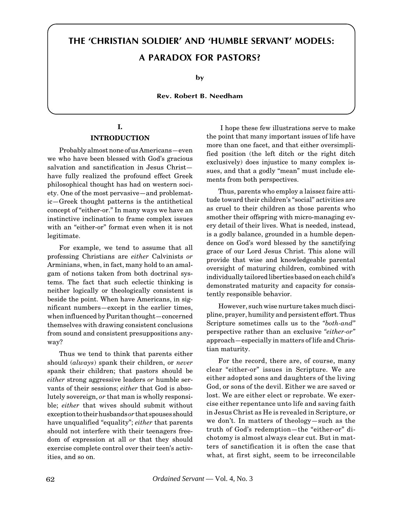# <span id="page-14-0"></span> **THE 'CHRISTIAN SOLDIER' AND 'HUMBLE SERVANT' MODELS: A PARADOX FOR PASTORS?**

**by**

**Rev. Robert B. Needham**

# **I.**

# **INTRODUCTION**

Probably almost none of us Americans—even we who have been blessed with God's gracious salvation and sanctification in Jesus Christ have fully realized the profound effect Greek philosophical thought has had on western society. One of the most pervasive—and problematic—Greek thought patterns is the antithetical concept of "either-or." In many ways we have an instinctive inclination to frame complex issues with an "either-or" format even when it is not legitimate.

For example, we tend to assume that all professing Christians are *either* Calvinists *or* Arminians, when, in fact, many hold to an amalgam of notions taken from both doctrinal systems. The fact that such eclectic thinking is neither logically or theologically consistent is beside the point. When have Americans, in significant numbers—except in the earlier times, when influenced by Puritan thought—concerned themselves with drawing consistent conclusions from sound and consistent presuppositions anyway?

Thus we tend to think that parents either should (*always*) spank their children, or *never* spank their children; that pastors should be *either* strong aggressive leaders *or* humble servants of their sessions; *either* that God is absolutely sovereign, *or* that man is wholly responsible; *either* that wives should submit without exception to their husbands *or* that spouses should have unqualified "equality"; *either* that parents should not interfere with their teenagers freedom of expression at all *or* that they should exercise complete control over their teen's activities, and so on.

 I hope these few illustrations serve to make the point that many important issues of life have more than one facet, and that either oversimplified position (the left ditch or the right ditch exclusively) does injustice to many complex issues, and that a godly "mean" must include elements from both perspectives.

Thus, parents who employ a laissez faire attitude toward their children's "social" activities are as cruel to their children as those parents who smother their offspring with micro-managing every detail of their lives. What is needed, instead, is a godly balance, grounded in a humble dependence on God's word blessed by the sanctifying grace of our Lord Jesus Christ. This alone will provide that wise and knowledgeable parental oversight of maturing children, combined with individually tailored liberties based on each child's demonstrated maturity and capacity for consistently responsible behavior.

However, such wise nurture takes much discipline, prayer, humility and persistent effort. Thus Scripture sometimes calls us to the *"both-and"* perspective rather than an exclusive *"either-or"* approach—especially in matters of life and Christian maturity.

For the record, there are, of course, many clear "either-or" issues in Scripture. We are either adopted sons and daughters of the living God, or sons of the devil. Either we are saved or lost. We are either elect or reprobate. We exercise either repentance unto life and saving faith in Jesus Christ as He is revealed in Scripture, or we don't. In matters of theology—such as the truth of God's redemption—the "either-or" dichotomy is almost always clear cut. But in matters of sanctification it is often the case that what, at first sight, seem to be irreconcilable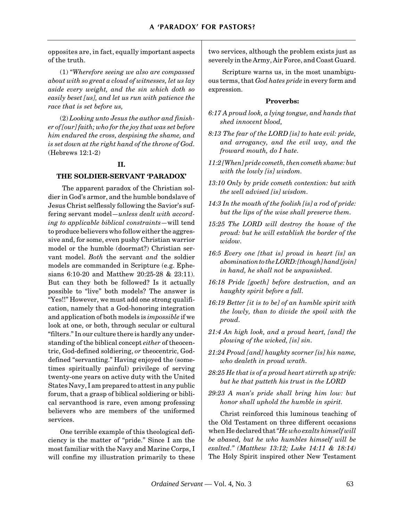opposites are, in fact, equally important aspects of the truth.

(1) "*Wherefore seeing we also are compassed about with so great a cloud of witnesses, let us lay aside every weight, and the sin which doth so easily beset [us], and let us run with patience the race that is set before us,*

(2) *Looking unto Jesus the author and finisher of [our] faith; who for the joy that was set before him endured the cross, despising the shame, and is set down at the right hand of the throne of God.* (Hebrews 12:1-2)

## **II.**

## **THE SOLDIER-SERVANT 'PARADOX'**

 The apparent paradox of the Christian soldier in God's armor, and the humble bondslave of Jesus Christ selflessly following the Savior's suffering servant model—*unless dealt with according to applicable biblical constraints*—will tend to produce believers who follow either the aggressive and, for some, even pushy Christian warrior model or the humble (doormat?) Christian servant model. *Both* the servant *and* the soldier models are commanded in Scripture (e.g. Ephesians 6:10-20 and Matthew 20:25-28 & 23:11). But can they both be followed? Is it actually possible to "live" both models? The answer is "Yes!!" However, we must add one strong qualification, namely that a God-honoring integration and application of both models is *impossible* if we look at one, or both, through secular or cultural "filters." In our culture there is hardly any understanding of the biblical concept *either* of theocentric, God-defined soldiering, *or* theocentric, Goddefined "servanting." Having enjoyed the (sometimes spiritually painful) privilege of serving twenty-one years on active duty with the United States Navy, I am prepared to attest in any public forum, that a grasp of biblical soldiering or biblical servanthood is rare, even among professing believers who are members of the uniformed services.

One terrible example of this theological deficiency is the matter of "pride." Since I am the most familiar with the Navy and Marine Corps, I will confine my illustration primarily to these

two services, although the problem exists just as severely in the Army, Air Force, and Coast Guard.

 Scripture warns us, in the most unambiguous terms, that *God hates pride* in every form and expression.

#### **Proverbs:**

- *6:17 A proud look, a lying tongue, and hands that shed innocent blood,*
- *8:13 The fear of the LORD [is] to hate evil: pride, and arrogancy, and the evil way, and the froward mouth, do I hate.*
- *11:2 [When] pride cometh, then cometh shame: but with the lowly [is] wisdom.*
- *13:10 Only by pride cometh contention: but with the well advised [is] wisdom.*
- *14:3 In the mouth of the foolish [is] a rod of pride: but the lips of the wise shall preserve them.*
- *15:25 The LORD will destroy the house of the proud: but he will establish the border of the widow.*
- *16:5 Every one [that is] proud in heart [is] an abomination to the LORD: [though] hand [join] in hand, he shall not be unpunished.*
- *16:18 Pride [goeth] before destruction, and an haughty spirit before a fall.*
- *16:19 Better [it is to be] of an humble spirit with the lowly, than to divide the spoil with the proud.*
- *21:4 An high look, and a proud heart, [and] the plowing of the wicked, [is] sin.*
- *21:24 Proud [and] haughty scorner [is] his name, who dealeth in proud wrath.*
- *28:25 He that is of a proud heart stirreth up strife: but he that putteth his trust in the LORD*
- *29:23 A man's pride shall bring him low: but honor shall uphold the humble in spirit.*

Christ reinforced this luminous teaching of the Old Testament on three different occasions when He declared that *"He who exalts himself will be abased, but he who humbles himself will be exalted." (Matthew 13:12; Luke 14:11 & 18:14)* The Holy Spirit inspired other New Testament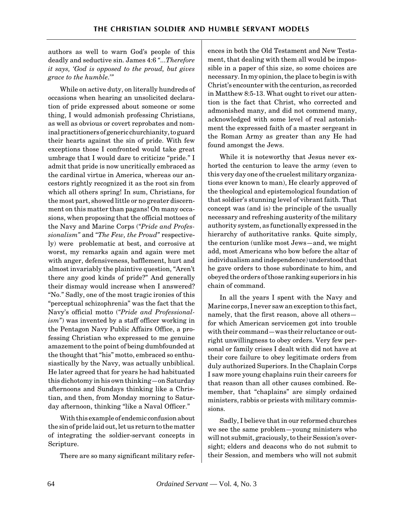authors as well to warn God's people of this deadly and seductive sin. James 4:6 *"...Therefore it says, 'God is opposed to the proud, but gives grace to the humble.'"*

While on active duty, on literally hundreds of occasions when hearing an unsolicited declaration of pride expressed about someone or some thing, I would admonish professing Christians, as well as obvious or covert reprobates and nominal practitioners of generic churchianity, to guard their hearts against the sin of pride. With few exceptions those I confronted would take great umbrage that I would dare to criticize "pride." I admit that pride is now uncritically embraced as the cardinal virtue in America, whereas our ancestors rightly recognized it as the root sin from which all others spring! In sum, Christians, for the most part, showed little or no greater discernment on this matter than pagans! On many occasions, when proposing that the official mottoes of the Navy and Marine Corps (*"Pride and Professionalism"* and *"The Few, the Proud"* respectively) were problematic at best, and corrosive at worst, my remarks again and again were met with anger, defensiveness, bafflement, hurt and almost invariably the plaintive question, "Aren't there any good kinds of pride?" And generally their dismay would increase when I answered? "No." Sadly, one of the most tragic ironies of this "perceptual schizophrenia" was the fact that the Navy's official motto (*"Pride and Professionalism"*) was invented by a staff officer working in the Pentagon Navy Public Affairs Office, a professing Christian who expressed to me genuine amazement to the point of being dumbfounded at the thought that "his" motto, embraced so enthusiastically by the Navy, was actually unbiblical. He later agreed that for years he had habituated this dichotomy in his own thinking—on Saturday afternoons and Sundays thinking like a Christian, and then, from Monday morning to Saturday afternoon, thinking "like a Naval Officer."

With this example of endemic confusion about the sin of pride laid out, let us return to the matter of integrating the soldier-servant concepts in Scripture.

There are so many significant military refer-

ences in both the Old Testament and New Testament, that dealing with them all would be impossible in a paper of this size, so some choices are necessary. In my opinion, the place to begin is with Christ's encounter with the centurion, as recorded in Matthew 8:5-13. What ought to rivet our attention is the fact that Christ, who corrected and admonished many, and did not commend many, acknowledged with some level of real astonishment the expressed faith of a master sergeant in the Roman Army as greater than any He had found amongst the Jews.

While it is noteworthy that Jesus never exhorted the centurion to leave the army (even to this very day one of the cruelest military organizations ever known to man), He clearly approved of the theological and epistemological foundation of that soldier's stunning level of vibrant faith. That concept was (and is) the principle of the usually necessary and refreshing austerity of the military authority system, as functionally expressed in the hierarchy of authoritative ranks. Quite simply, the centurion (unlike most Jews—and, we might add, most Americans who bow before the altar of individualism and independence) understood that he gave orders to those subordinate to him, and obeyed the orders of those ranking superiors in his chain of command.

In all the years I spent with the Navy and Marine corps, I never saw an exception to this fact, namely, that the first reason, above all others for which American servicemen got into trouble with their command—was their reluctance or outright unwillingness to obey orders. Very few personal or family crises I dealt with did not have at their core failure to obey legitimate orders from duly authorized Superiors. In the Chaplain Corps I saw more young chaplains ruin their careers for that reason than all other causes combined. Remember, that "chaplains" are simply ordained ministers, rabbis or priests with military commissions.

Sadly, I believe that in our reformed churches we see the same problem—young ministers who will not submit, graciously, to their Session's oversight; elders and deacons who do not submit to their Session, and members who will not submit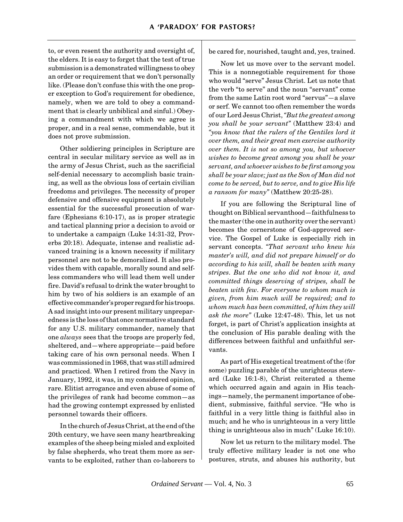to, or even resent the authority and oversight of, the elders. It is easy to forget that the test of true submission is a demonstrated willingness to obey an order or requirement that we don't personally like. (Please don't confuse this with the one proper exception to God's requirement for obedience, namely, when we are told to obey a commandment that is clearly unbiblical and sinful.) Obeying a commandment with which we agree is proper, and in a real sense, commendable, but it does not prove submission.

Other soldiering principles in Scripture are central in secular military service as well as in the army of Jesus Christ, such as the sacrificial self-denial necessary to accomplish basic training, as well as the obvious loss of certain civilian freedoms and privileges. The necessity of proper defensive and offensive equipment is absolutely essential for the successful prosecution of warfare (Ephesians 6:10-17), as is proper strategic and tactical planning prior a decision to avoid or to undertake a campaign (Luke 14:31-32, Proverbs 20:18). Adequate, intense and realistic advanced training is a known necessity if military personnel are not to be demoralized. It also provides them with capable, morally sound and selfless commanders who will lead them well under fire. David's refusal to drink the water brought to him by two of his soldiers is an example of an effective commander's proper regard for his troops. A sad insight into our present military unpreparedness is the loss of that once normative standard for any U.S. military commander, namely that one *always* sees that the troops are properly fed, sheltered, and—where appropriate—paid before taking care of his own personal needs. When I was commissioned in 1968, that was still admired and practiced. When I retired from the Navy in January, 1992, it was, in my considered opinion, rare. Elitist arrogance and even abuse of some of the privileges of rank had become common—as had the growing contempt expressed by enlisted personnel towards their officers.

In the church of Jesus Christ, at the end of the 20th century, we have seen many heartbreaking examples of the sheep being misled and exploited by false shepherds, who treat them more as servants to be exploited, rather than co-laborers to

be cared for, nourished, taught and, yes, trained.

Now let us move over to the servant model. This is a nonnegotiable requirement for those who would "serve" Jesus Christ. Let us note that the verb "to serve" and the noun "servant" come from the same Latin root word "servus"—a slave or serf. We cannot too often remember the words of our Lord Jesus Christ, *"But the greatest among you shall be your servant"* (Matthew 23:4) and *"you know that the rulers of the Gentiles lord it over them, and their great men exercise authority over them. It is not so among you, but whoever wishes to become great among you shall be your servant, and whoever wishes to be first among you shall be your slave; just as the Son of Man did not come to be served, but to serve, and to give His life a ransom for many"* (Matthew 20:25-28).

If you are following the Scriptural line of thought on Biblical servanthood—faithfulness to the master (the one in authority over the servant) becomes the cornerstone of God-approved service. The Gospel of Luke is especially rich in servant concepts. *"That servant who knew his master's will, and did not prepare himself or do according to his will, shall be beaten with many stripes. But the one who did not know it, and committed things deserving of stripes, shall be beaten with few. For everyone to whom much is given, from him much will be required; and to whom much has been committed, of him they will ask the more"* (Luke 12:47-48). This, let us not forget, is part of Christ's application insights at the conclusion of His parable dealing with the differences between faithful and unfaithful servants.

As part of His exegetical treatment of the (for some) puzzling parable of the unrighteous steward (Luke 16:1-8), Christ reiterated a theme which occurred again and again in His teachings—namely, the permanent importance of obedient, submissive, faithful service. "He who is faithful in a very little thing is faithful also in much; and he who is unrighteous in a very little thing is unrighteous also in much" (Luke 16:10).

Now let us return to the military model. The truly effective military leader is not one who postures, struts, and abuses his authority, but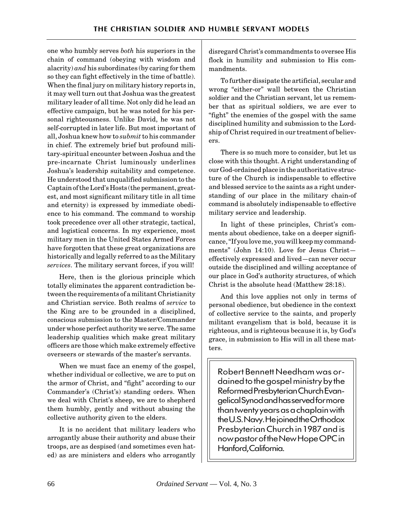one who humbly serves *both* his superiors in the chain of command (obeying with wisdom and alacrity) *and* his subordinates (by caring for them so they can fight effectively in the time of battle). When the final jury on military history reports in, it may well turn out that Joshua was the greatest military leader of all time. Not only did he lead an effective campaign, but he was noted for his personal righteousness. Unlike David, he was not self-corrupted in later life. But most important of all, Joshua knew how to *submit* to his commander in chief. The extremely brief but profound military-spiritual encounter between Joshua and the pre-incarnate Christ luminously underlines Joshua's leadership suitability and competence. He understood that unqualified submission to the Captain of the Lord's Hosts (the permanent, greatest, and most significant military title in all time and eternity) is expressed by immediate obedience to his command. The command to worship took precedence over all other strategic, tactical, and logistical concerns. In my experience, most military men in the United States Armed Forces have forgotten that these great organizations are historically and legally referred to as the Military *services.* The military servant forces, if you will!

Here, then is the glorious principle which totally eliminates the apparent contradiction between the requirements of a militant Christianity and Christian service. Both realms of *service* to the King are to be grounded in a disciplined, conscious submission to the Master/Commander under whose perfect authority we serve. The same leadership qualities which make great military officers are those which make extremely effective overseers or stewards of the master's servants.

When we must face an enemy of the gospel, whether individual or collective, we are to put on the armor of Christ, and "fight" according to our Commander's (Christ's) standing orders. When we deal with Christ's sheep, we are to shepherd them humbly, gently and without abusing the collective authority given to the elders.

It is no accident that military leaders who arrogantly abuse their authority and abuse their troops, are as despised (and sometimes even hated) as are ministers and elders who arrogantly

disregard Christ's commandments to oversee His flock in humility and submission to His commandments.

To further dissipate the artificial, secular and wrong "either-or" wall between the Christian soldier and the Christian servant, let us remember that as spiritual soldiers, we are ever to "fight" the enemies of the gospel with the same disciplined humility and submission to the Lordship of Christ required in our treatment of believers.

There is so much more to consider, but let us close with this thought. A right understanding of our God-ordained place in the authoritative structure of the Church is indispensable to effective and blessed service to the saints as a right understanding of our place in the military chain-of command is absolutely indispensable to effective military service and leadership.

In light of these principles, Christ's comments about obedience, take on a deeper significance, "If you love me, you will keep my commandments" (John 14:10). Love for Jesus Christ effectively expressed and lived—can never occur outside the disciplined and willing acceptance of our place in God's authority structures, of which Christ is the absolute head (Matthew 28:18).

And this love applies not only in terms of personal obedience, but obedience in the context of collective service to the saints, and properly militant evangelism that is bold, because it is righteous, and is righteous because it is, by God's grace, in submission to His will in all these matters.

Robert Bennett Needham was ordained to the gospel ministry by the Reformed Presbyterian Church Evangelical Synod and has served for more than twenty years as a chaplain with the U.S. Navy. He joined the Orthodox Presbyterian Church in 1987 and is now pastor of the New Hope OPC in Hanford, California.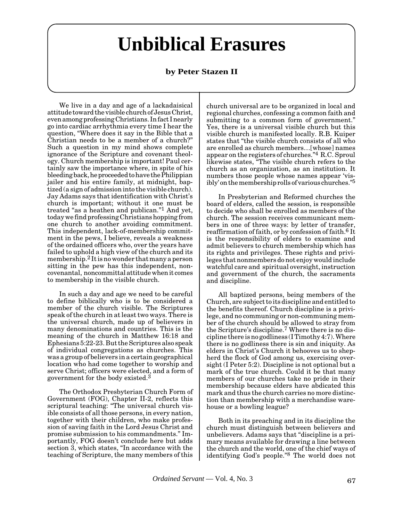# **Unbiblical Erasures**

# **by Peter Stazen II**

<span id="page-19-0"></span>We live in a day and age of a lackadaisical attitude toward the visible church of Jesus Christ, even among professing Christians. In fact I nearly go into cardiac arrhythmia every time I hear the question, "Where does it say in the Bible that a Christian needs to be a member of a church?" Such a question in my mind shows complete ignorance of the Scripture and covenant theology. Church membership is important! Paul certainly saw the importance where, in spite of his bleeding back, he proceeded to have the Philippian jailer and his entire family, at midnight, baptized (a sign of admission into the visible church). Jay Adams says that identification with Christ's church is important; without it one must be treated "as a heathen and publican."1 And yet, today we find professing Christians hopping from one church to another avoiding commitment. This independent, lack-of-membership commitment in the pews, I believe, reveals a weakness of the ordained officers who, over the years have failed to uphold a high view of the church and its membership.2 It is no wonder that many a person sitting in the pew has this independent, noncovenantal, noncommittal attitude when it comes to membership in the visible church.

In such a day and age we need to be careful to define biblically who is to be considered a member of the church visible. The Scriptures speak of the church in at least two ways. There is the universal church, made up of believers in many denominations and countries. This is the meaning of the church in Matthew 16:18 and Ephesians 5:22-23. But the Scriptures also speak of individual congregations as churches. This was a group of believers in a certain geographical location who had come together to worship and serve Christ; officers were elected, and a form of government for the body existed.3

The Orthodox Presbyterian Church Form of Government (FOG), Chapter II-2, reflects this scriptural teaching: "The universal church visible consists of all those persons, in every nation, together with their children, who make profession of saving faith in the Lord Jesus Christ and promise submission to his commandments." Importantly, FOG doesn't conclude here but adds section 3, which states, "In accordance with the teaching of Scripture, the many members of this

church universal are to be organized in local and regional churches, confessing a common faith and submitting to a common form of government." Yes, there is a universal visible church but this visible church is manifested locally. R.B. Kuiper states that "the visible church consists of all who are enrolled as church members…[whose] names appear on the registers of churches."4 R.C. Sproul likewise states, "The visible church refers to the church as an organization, as an institution. It numbers those people whose names appear 'visibly' on the membership rolls of various churches."5

In Presbyterian and Reformed churches the board of elders, called the session, is responsible to decide who shall be enrolled as members of the church. The session receives communicant members in one of three ways: by letter of transfer, reaffirmation of faith, or by confession of faith.6 It is the responsibility of elders to examine and admit believers to church membership which has its rights and privileges. These rights and privileges that nonmembers do not enjoy would include watchful care and spiritual oversight, instruction and government of the church, the sacraments and discipline.

All baptized persons, being members of the Church, are subject to its discipline and entitled to the benefits thereof. Church discipline is a privilege, and no communing or non-communing member of the church should be allowed to stray from the Scripture's discipline.7 Where there is no discipline there is no godliness (I Timothy 4:7). Where there is no godliness there is sin and iniquity. As elders in Christ's Church it behooves us to shepherd the flock of God among us, exercising oversight (I Peter 5:2). Discipline is not optional but a mark of the true church. Could it be that many members of our churches take no pride in their membership because elders have abdicated this mark and thus the church carries no more distinction than membership with a merchandise warehouse or a bowling league?

Both in its preaching and in its discipline the church must distinguish between believers and unbelievers. Adams says that "discipline is a primary means available for drawing a line between the church and the world, one of the chief ways of identifying God's people."8 The world does not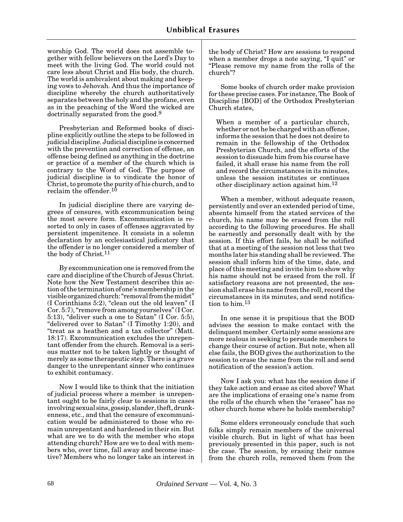worship God. The world does not assemble together with fellow believers on the Lord's Day to meet with the living God. The world could not care less about Christ and His body, the church. The world is ambivalent about making and keeping vows to Jehovah. And thus the importance of discipline whereby the church authoritatively separates between the holy and the profane, even as in the preaching of the Word the wicked are doctrinally separated from the good.<sup>9</sup>

Presbyterian and Reformed books of discipline explicitly outline the steps to be followed in judicial discipline. Judicial discipline is concerned with the prevention and correction of offense, an offense being defined as anything in the doctrine or practice of a member of the church which is contrary to the Word of God. The purpose of judicial discipline is to vindicate the honor of Christ, to promote the purity of his church, and to reclaim the offender.<sup>10</sup>

In judicial discipline there are varying degrees of censures, with excommunication being the most severe form. Excommunication is resorted to only in cases of offenses aggravated by persistent impenitence. It consists in a solemn declaration by an ecclesiastical judicatory that the offender is no longer considered a member of the body of Christ.11

By excommunication one is removed from the care and discipline of the Church of Jesus Christ. Note how the New Testament describes this action of the termination of one's membership in the visible organized church: "removal from the midst" (I Corinthians 5:2), "clean out the old leaven" (I Cor. 5:7), "remove from among yourselves" (I Cor. 5:13), "deliver such a one to Satan" (I Cor. 5:5), "delivered over to Satan" (I Timothy 1:20), and "treat as a heathen and a tax collector" (Matt. 18:17). Excommunication excludes the unrepentant offender from the church. Removal is a serious matter not to be taken lightly or thought of merely as some therapeutic step. There is a grave danger to the unrepentant sinner who continues to exhibit contumacy.

Now I would like to think that the initiation of judicial process where a member is unrepentant ought to be fairly clear to sessions in cases involving sexual sins, gossip, slander, theft, drunkenness, etc., and that the censure of excommunication would be administered to those who remain unrepentant and hardened in their sin. But what are we to do with the member who stops attending church? How are we to deal with members who, over time, fall away and become inactive? Members who no longer take an interest in the body of Christ? How are sessions to respond when a member drops a note saying, "I quit" or "Please remove my name from the rolls of the church"?

Some books of church order make provision for these precise cases. For instance, The Book of Discipline [BOD] of the Orthodox Presbyterian Church states,

When a member of a particular church, whether or not he be charged with an offense, informs the session that he does not desire to remain in the fellowship of the Orthodox Presbyterian Church, and the efforts of the session to dissuade him from his course have failed, it shall erase his name from the roll and record the circumstances in its minutes, unless the session institutes or continues other disciplinary action against him.12

When a member, without adequate reason, persistently and over an extended period of time, absents himself from the stated services of the church, his name may be erased from the roll according to the following procedures. He shall be earnestly and personally dealt with by the session. If this effort fails, he shall be notified that at a meeting of the session not less that two months later his standing shall be reviewed. The session shall inform him of the time, date, and place of this meeting and invite him to show why his name should not be erased from the roll. If satisfactory reasons are not presented, the session shall erase his name from the roll, record the circumstances in its minutes, and send notification to him.13

In one sense it is propitious that the BOD advises the session to make contact with the delinquent member. Certainly some sessions are more zealous in seeking to persuade members to change their course of action. But note, when all else fails, the BOD gives the authorization to the session to erase the name from the roll and send notification of the session's action.

Now I ask you: what has the session done if they take action and erase as cited above? What are the implications of erasing one's name from the rolls of the church when the "erasee" has no other church home where he holds membership?

Some elders erroneously conclude that such folks simply remain members of the universal visible church. But in light of what has been previously presented in this paper, such is not the case. The session, by erasing their names from the church rolls, removed them from the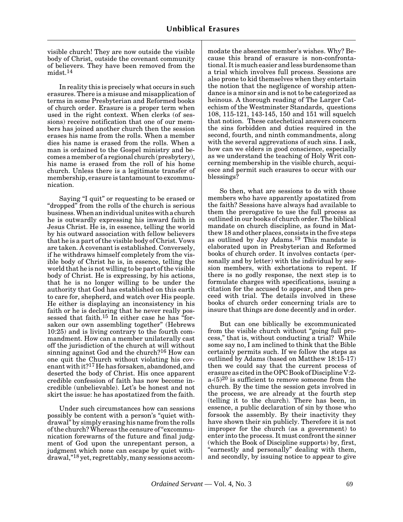visible church! They are now outside the visible body of Christ, outside the covenant community of believers. They have been removed from the midst.14

In reality this is precisely what occurs in such erasures. There is a misuse and misapplication of terms in some Presbyterian and Reformed books of church order. Erasure is a proper term when used in the right context. When clerks (of sessions) receive notification that one of our members has joined another church then the session erases his name from the rolls. When a member dies his name is erased from the rolls. When a man is ordained to the Gospel ministry and becomes a member of a regional church (presbytery), his name is erased from the roll of his home church. Unless there is a legitimate transfer of membership, erasure is tantamount to excommunication.

Saying "I quit" or requesting to be erased or "dropped" from the rolls of the church is serious business. When an individual unites with a church he is outwardly expressing his inward faith in Jesus Christ. He is, in essence, telling the world by his outward association with fellow believers that he is a part of the visible body of Christ. Vows are taken. A covenant is established. Conversely, if he withdraws himself completely from the visible body of Christ he is, in essence, telling the world that he is not willing to be part of the visible body of Christ. He is expressing, by his actions, that he is no longer willing to be under the authority that God has established on this earth to care for, shepherd, and watch over His people. He either is displaying an inconsistency in his faith or he is declaring that he never really possessed that faith.<sup>15</sup> In either case he has "forsaken our own assembling together" (Hebrews 10:25) and is living contrary to the fourth commandment. How can a member unilaterally cast off the jurisdiction of the church at will without sinning against God and the church?16 How can one quit the Church without violating his covenant with it?17 He has forsaken, abandoned, and deserted the body of Christ. His once apparent credible confession of faith has now become incredible (unbelievable). Let's be honest and not skirt the issue: he has apostatized from the faith.

Under such circumstances how can sessions possibly be content with a person's "quiet withdrawal" by simply erasing his name from the rolls of the church? Whereas the censure of "excommunication forewarns of the future and final judgment of God upon the unrepentant person, a judgment which none can escape by quiet withdrawal,"18 yet, regrettably, many sessions accommodate the absentee member's wishes. Why? Because this brand of erasure is non-confrontational. It is much easier and less burdensome than a trial which involves full process. Sessions are also prone to kid themselves when they entertain the notion that the negligence of worship attendance is a minor sin and is not to be categorized as heinous. A thorough reading of The Larger Catechism of the Westminster Standards, questions 108, 115-121, 143-145, 150 and 151 will squelch that notion. These catechetical answers concern the sins forbidden and duties required in the second, fourth, and ninth commandments, along with the several aggrevations of such sins. I ask, how can we elders in good conscience, especially as we understand the teaching of Holy Writ concerning membership in the visible church, acquiesce and permit such erasures to occur with our blessings?

So then, what are sessions to do with those members who have apparently apostatized from the faith? Sessions have always had available to them the prerogative to use the full process as outlined in our books of church order. The biblical mandate on church discipline, as found in Matthew 18 and other places, consists in the five steps as outlined by Jay Adams.19 This mandate is elaborated upon in Presbyterian and Reformed books of church order. It involves contacts (personally and by letter) with the individual by session members, with exhortations to repent. If there is no godly response, the next step is to formulate charges with specifications, issuing a citation for the accused to appear, and then proceed with trial. The details involved in these books of church order concerning trials are to insure that things are done decently and in order.

But can one biblically be excommunicated from the visible church without "going full process," that is, without conducting a trial? While some say no, I am inclined to think that the Bible certainly permits such. If we follow the steps as outlined by Adams (based on Matthew 18:15-17) then we could say that the current process of erasure as cited in the OPC Book of Discipline V:2  $a^{(5)}20$  is sufficient to remove someone from the church. By the time the session gets involved in the process, we are already at the fourth step (telling it to the church). There has been, in essence, a public declaration of sin by those who forsook the assembly. By their inactivity they have shown their sin publicly. Therefore it is not improper for the church (as a government) to enter into the process. It must confront the sinner (which the Book of Discipline supports) by, first, "earnestly and personally" dealing with them, and secondly, by issuing notice to appear to give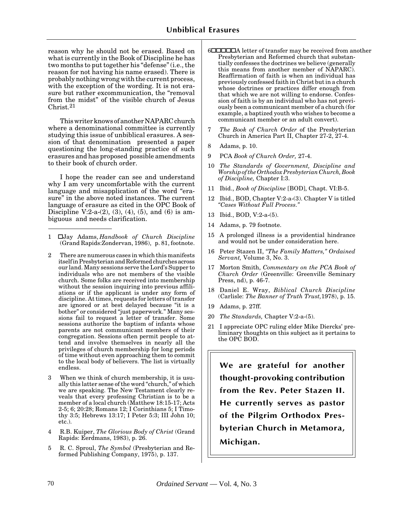reason why he should not be erased. Based on what is currently in the Book of Discipline he has two months to put together his "defense" (i.e., the reason for not having his name erased). There is probably nothing wrong with the current process, with the exception of the wording. It is not erasure but rather excommunication, the "removal from the midst" of the visible church of Jesus Christ.21

This writer knows of another NAPARC church where a denominational committee is currently studying this issue of unbiblical erasures. A session of that denomination presented a paper questioning the long-standing practice of such erasures and has proposed possible amendments to their book of church order.

I hope the reader can see and understand why I am very uncomfortable with the current language and misapplication of the word "erasure" in the above noted instances. The current language of erasure as cited in the OPC Book of Discipline V:2-a- $(2)$ ,  $(3)$ ,  $(4)$ ,  $(5)$ , and  $(6)$  is ambiguous and needs clarification.

- 1 ␣ Jay Adams, *Handbook of Church Discipline* (Grand Rapids:Zondervan, 1986), p. 81, footnote.
- 2 There are numerous cases in which this manifests itself in Presbyterian and Reformed churches across our land. Many sessions serve the Lord's Supper to individuals who are not members of the visible church. Some folks are received into membership without the session inquiring into previous affiliations or if the applicant is under any form of discipline. At times, requests for letters of transfer are ignored or at best delayed because "it is a bother" or considered "just paperwork." Many sessions fail to request a letter of transfer. Some sessions authorize the baptism of infants whose parents are not communicant members of their congregation. Sessions often permit people to attend and involve themselves in nearly all the privileges of church membership for long periods of time without even approaching them to commit to the local body of believers. The list is virtually endless.
- 3 When we think of church membership, it is usually this latter sense of the word "church," of which we are speaking. The New Testament clearly reveals that every professing Christian is to be a member of a local church (Matthew 18:15-17; Acts 2-5; 6; 20:28; Romans 12; I Corinthians 5; I Timothy 3:5; Hebrews 13:17; I Peter 5:3; III John 10; etc.).
- 4 R.B. Kuiper, *The Glorious Body of Christ* (Grand Rapids: Eerdmans, 1983), p. 26.
- 5 R. C. Sproul, *The Symbol* (Presbyterian and Reformed Publishing Company, 1975), p. 137.
- 6␣ ␣ ␣ ␣ ␣ A letter of transfer may be received from another Presbyterian and Reformed church that substantially confesses the doctrines we believe (generally this means from another member of NAPARC). Reaffirmation of faith is when an individual has previously confessed faith in Christ but in a church whose doctrines or practices differ enough from that which we are not willing to endorse. Confession of faith is by an individual who has not previously been a communicant member of a church (for example, a baptized youth who wishes to become a communicant member or an adult convert).
- 7 *The Book of Church Order* of the Presbyterian Church in America Part II, Chapter 27-2, 27-4.
- 8 Adams, p. 10.
- 9 PCA *Book of Church Order,* 27-4.
- 10 *The Standards of Government, Discipline and Worship of the Orthodox Presbyterian Church, Book of Discipline,* Chapter I:3.
- 11 Ibid., *Book of Discipline* [BOD], Chapt. VI:B-5.
- 12 Ibid., BOD, Chapter V:2-a-(3). Chapter V is titled *"Cases Without Full Process."*
- 13 Ibid., BOD, V:2-a-(5).
- 14 Adams, p. 79 footnote.
- 15 A prolonged illness is a providential hindrance and would not be under consideration here.
- 16 Peter Stazen II, *"The Family Matters," Ordained Servant,* Volume 3, No. 3.
- 17 Morton Smith, *Commentary on the PCA Book of Church Order* (Greenville: Greenville Seminary Press, nd), p. 46-7.
- 18 Daniel E. Wray, *Biblical Church Discipline* (Carlisle: *The Banner of Truth Trust,*1978), p. 15.
- 19 Adams, p. 27ff.
- 20 *The Standards,* Chapter V:2-a-(5).
- 21 I appreciate OPC ruling elder Mike Diercks' preliminary thoughts on this subject as it pertains to the OPC BOD.

**We are grateful for another thought-provoking contribution from the Rev. Peter Stazen II. He currently serves as pastor of the Pilgrim Orthodox Presbyterian Church in Metamora, Michigan.**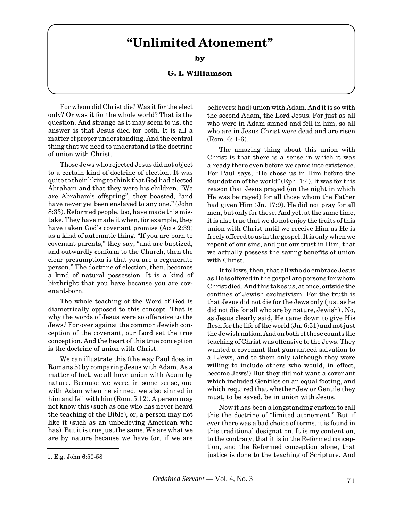# **"Unlimited Atonement"**

**by**

## **G. I. Williamson**

<span id="page-23-0"></span>For whom did Christ die? Was it for the elect only? Or was it for the whole world? That is the question. And strange as it may seem to us, the answer is that Jesus died for both. It is all a matter of proper understanding. And the central thing that we need to understand is the doctrine of union with Christ.

Those Jews who rejected Jesus did not object to a certain kind of doctrine of election. It was quite to their liking to think that God had elected Abraham and that they were his children. "We are Abraham's offspring", they boasted, "and have never yet been enslaved to any one." (John 8:33). Reformed people, too, have made this mistake. They have made it when, for example, they have taken God's covenant promise (Acts 2:39) as a kind of automatic thing. "If you are born to covenant parents," they say, "and are baptized, and outwardly conform to the Church, then the clear presumption is that you are a regenerate person." The doctrine of election, then, becomes a kind of natural possession. It is a kind of birthright that you have because you are covenant-born.

The whole teaching of the Word of God is diametrically opposed to this concept. That is why the words of Jesus were so offensive to the Jews.l For over against the common Jewish conception of the covenant, our Lord set the true conception. And the heart of this true conception is the doctrine of union with Christ.

We can illustrate this (the way Paul does in Romans 5) by comparing Jesus with Adam. As a matter of fact, we all have union with Adam by nature. Because we were, in some sense, one with Adam when he sinned, we also sinned in him and fell with him (Rom. 5:12). A person may not know this (such as one who has never heard the teaching of the Bible), or, a person may not like it (such as an unbelieving American who has). But it is true just the same. We are what we are by nature because we have (or, if we are believers: had) union with Adam. And it is so with the second Adam, the Lord Jesus. For just as all who were in Adam sinned and fell in him, so all who are in Jesus Christ were dead and are risen (Rom. 6: 1-6).

The amazing thing about this union with Christ is that there is a sense in which it was already there even before we came into existence. For Paul says, "He chose us in Him before the foundation of the world" (Eph. 1:4). It was for this reason that Jesus prayed (on the night in which He was betrayed) for all those whom the Father had given Him (Jn. 17:9). He did not pray for all men, but only for these. And yet, at the same time, it is also true that we do not enjoy the fruits of this union with Christ until we receive Him as He is freely offered to us in the gospel. It is only when we repent of our sins, and put our trust in Him, that we actually possess the saving benefits of union with Christ.

It follows, then, that all who do embrace Jesus as He is offered in the gospel are persons for whom Christ died. And this takes us, at once, outside the confines of Jewish exclusivism. For the truth is that Jesus did not die for the Jews only (just as he did not die for all who are by nature, Jewish) . No, as Jesus clearly said, He came down to give His flesh for the life of the world (Jn. 6:51) and not just the Jewish nation. And on both of these counts the teaching of Christ was offensive to the Jews. They wanted a covenant that guaranteed salvation to all Jews, and to them only (although they were willing to include others who would, in effect, become Jews!) But they did not want a covenant which included Gentiles on an equal footing, and which required that whether Jew or Gentile they must, to be saved, be in union with Jesus.

Now it has been a longstanding custom to call this the doctrine of "limited atonement." But if ever there was a bad choice of terms, it is found in this traditional designation. It is my contention, to the contrary, that it is in the Reformed conception, and the Reformed conception alone, that 1. E.g. John 6:50-58 justice is done to the teaching of Scripture. And